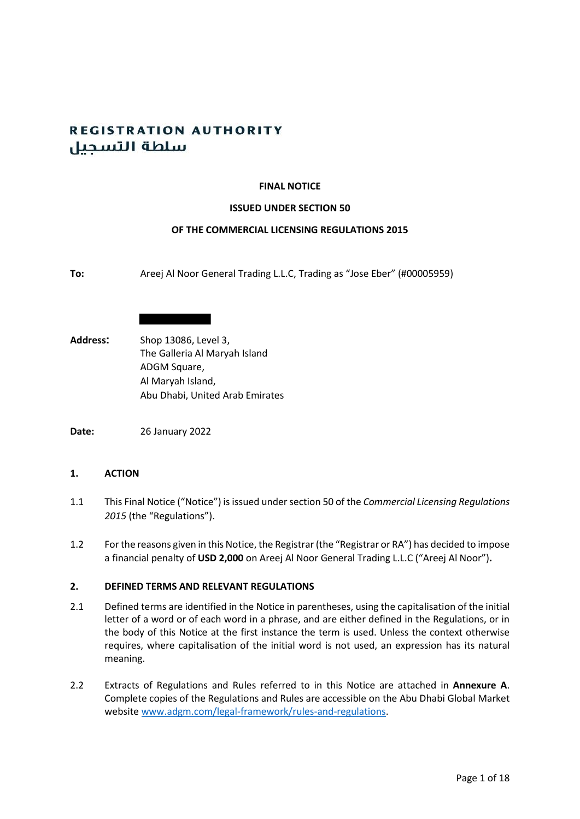# **REGISTRATION AUTHORITY** سلطة التسحيل

## **FINAL NOTICE**

### **ISSUED UNDER SECTION 50**

### **OF THE COMMERCIAL LICENSING REGULATIONS 2015**

- **To:** Areej Al Noor General Trading L.L.C, Trading as "Jose Eber" (#00005959)
- **Address:** Shop 13086, Level 3, The Galleria Al Maryah Island ADGM Square, Al Maryah Island, Abu Dhabi, United Arab Emirates

**Date:** 26 January 2022

## **1. ACTION**

- 1.1 This Final Notice ("Notice") is issued under section 50 of the *Commercial Licensing Regulations 2015* (the "Regulations").
- 1.2 For the reasons given in this Notice, the Registrar (the "Registrar or RA") has decided to impose a financial penalty of **USD 2,000** on Areej Al Noor General Trading L.L.C ("Areej Al Noor")**.**

### **2. DEFINED TERMS AND RELEVANT REGULATIONS**

- 2.1 Defined terms are identified in the Notice in parentheses, using the capitalisation of the initial letter of a word or of each word in a phrase, and are either defined in the Regulations, or in the body of this Notice at the first instance the term is used. Unless the context otherwise requires, where capitalisation of the initial word is not used, an expression has its natural meaning.
- 2.2 Extracts of Regulations and Rules referred to in this Notice are attached in **Annexure A**. Complete copies of the Regulations and Rules are accessible on the Abu Dhabi Global Market website [www.adgm.com/legal-framework/rules-and-regulations.](http://www.adgm.com/legal-framework/rules-and-regulations)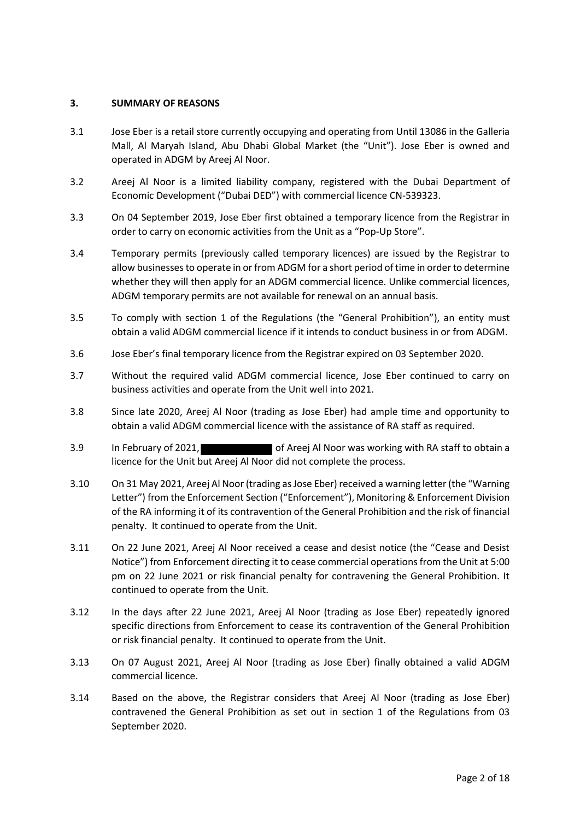# **3. SUMMARY OF REASONS**

- 3.1 Jose Eber is a retail store currently occupying and operating from Until 13086 in the Galleria Mall, Al Maryah Island, Abu Dhabi Global Market (the "Unit"). Jose Eber is owned and operated in ADGM by Areej Al Noor.
- 3.2 Areej Al Noor is a limited liability company, registered with the Dubai Department of Economic Development ("Dubai DED") with commercial licence CN-539323.
- 3.3 On 04 September 2019, Jose Eber first obtained a temporary licence from the Registrar in order to carry on economic activities from the Unit as a "Pop-Up Store".
- 3.4 Temporary permits (previously called temporary licences) are issued by the Registrar to allow businesses to operate in or from ADGM for a short period of time in order to determine whether they will then apply for an ADGM commercial licence. Unlike commercial licences, ADGM temporary permits are not available for renewal on an annual basis.
- 3.5 To comply with section 1 of the Regulations (the "General Prohibition"), an entity must obtain a valid ADGM commercial licence if it intends to conduct business in or from ADGM.
- 3.6 Jose Eber's final temporary licence from the Registrar expired on 03 September 2020.
- 3.7 Without the required valid ADGM commercial licence, Jose Eber continued to carry on business activities and operate from the Unit well into 2021.
- 3.8 Since late 2020, Areej Al Noor (trading as Jose Eber) had ample time and opportunity to obtain a valid ADGM commercial licence with the assistance of RA staff as required.
- 3.9 In February of 2021, **Oten Areej Al Noor was working with RA staff to obtain a** licence for the Unit but Areej Al Noor did not complete the process.
- 3.10 On 31 May 2021, Areej Al Noor (trading as Jose Eber) received a warning letter (the "Warning Letter") from the Enforcement Section ("Enforcement"), Monitoring & Enforcement Division of the RA informing it of its contravention of the General Prohibition and the risk of financial penalty. It continued to operate from the Unit.
- 3.11 On 22 June 2021, Areej Al Noor received a cease and desist notice (the "Cease and Desist Notice") from Enforcement directing it to cease commercial operations from the Unit at 5:00 pm on 22 June 2021 or risk financial penalty for contravening the General Prohibition. It continued to operate from the Unit.
- 3.12 In the days after 22 June 2021, Areej Al Noor (trading as Jose Eber) repeatedly ignored specific directions from Enforcement to cease its contravention of the General Prohibition or risk financial penalty. It continued to operate from the Unit.
- 3.13 On 07 August 2021, Areej Al Noor (trading as Jose Eber) finally obtained a valid ADGM commercial licence.
- 3.14 Based on the above, the Registrar considers that Areej Al Noor (trading as Jose Eber) contravened the General Prohibition as set out in section 1 of the Regulations from 03 September 2020.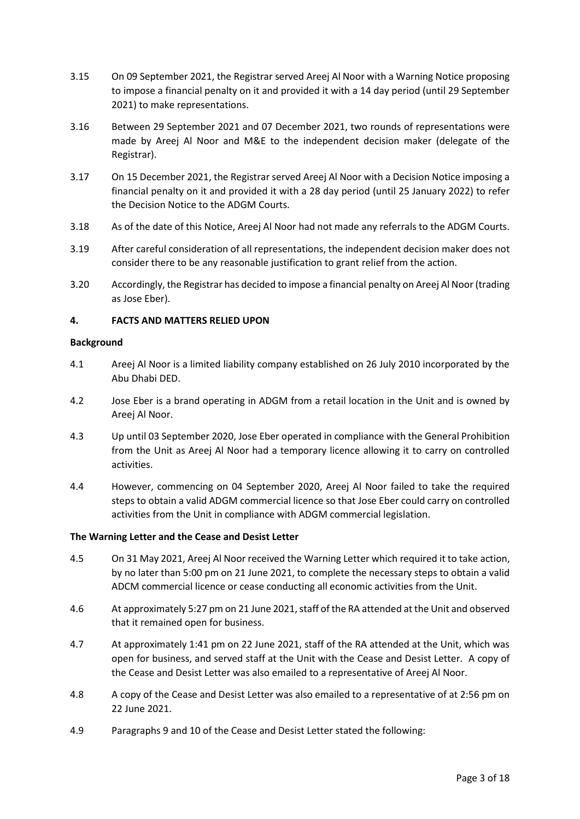- 3.15 On 09 September 2021, the Registrar served Areej Al Noor with a Warning Notice proposing to impose a financial penalty on it and provided it with a 14 day period (until 29 September 2021) to make representations.
- 3.16 Between 29 September 2021 and 07 December 2021, two rounds of representations were made by Areej Al Noor and M&E to the independent decision maker (delegate of the Registrar).
- 3.17 On 15 December 2021, the Registrar served Areej Al Noor with a Decision Notice imposing a financial penalty on it and provided it with a 28 day period (until 25 January 2022) to refer the Decision Notice to the ADGM Courts.
- 3.18 As of the date of this Notice, Areej Al Noor had not made any referrals to the ADGM Courts.
- 3.19 After careful consideration of all representations, the independent decision maker does not consider there to be any reasonable justification to grant relief from the action.
- 3.20 Accordingly, the Registrar has decided to impose a financial penalty on Areej Al Noor (trading as Jose Eber).

# **4. FACTS AND MATTERS RELIED UPON**

### **Background**

- 4.1 Areej Al Noor is a limited liability company established on 26 July 2010 incorporated by the Abu Dhabi DED.
- 4.2 Jose Eber is a brand operating in ADGM from a retail location in the Unit and is owned by Areej Al Noor.
- 4.3 Up until 03 September 2020, Jose Eber operated in compliance with the General Prohibition from the Unit as Areej Al Noor had a temporary licence allowing it to carry on controlled activities.
- 4.4 However, commencing on 04 September 2020, Areej Al Noor failed to take the required steps to obtain a valid ADGM commercial licence so that Jose Eber could carry on controlled activities from the Unit in compliance with ADGM commercial legislation.

## **The Warning Letter and the Cease and Desist Letter**

- 4.5 On 31 May 2021, Areej Al Noor received the Warning Letter which required it to take action, by no later than 5:00 pm on 21 June 2021, to complete the necessary steps to obtain a valid ADCM commercial licence or cease conducting all economic activities from the Unit.
- 4.6 At approximately 5:27 pm on 21 June 2021, staff of the RA attended at the Unit and observed that it remained open for business.
- 4.7 At approximately 1:41 pm on 22 June 2021, staff of the RA attended at the Unit, which was open for business, and served staff at the Unit with the Cease and Desist Letter. A copy of the Cease and Desist Letter was also emailed to a representative of Areej Al Noor.
- 4.8 A copy of the Cease and Desist Letter was also emailed to a representative of at 2:56 pm on 22 June 2021.
- 4.9 Paragraphs 9 and 10 of the Cease and Desist Letter stated the following: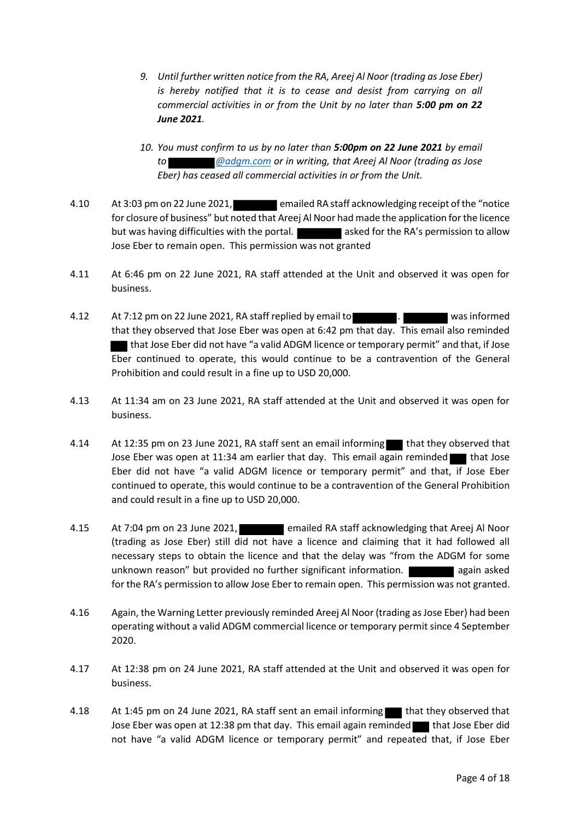- *9. Until further written notice from the RA, Areej Al Noor (trading as Jose Eber) is hereby notified that it is to cease and desist from carrying on all commercial activities in or from the Unit by no later than 5:00 pm on 22 June 2021.*
- *10. You must confirm to us by no later than 5:00pm on 22 June 2021 by email to @adgm.com or in writing, that Areej Al Noor (trading as Jose Eber) has ceased all commercial activities in or from the Unit.*
- 4.10 At 3:03 pm on 22 June 2021, **Example 2014** emailed RA staff acknowledging receipt of the "notice" for closure of business" but noted that Areej Al Noor had made the application for the licence but was having difficulties with the portal. **All asked for the RA's permission to allow** Jose Eber to remain open. This permission was not granted
- 4.11 At 6:46 pm on 22 June 2021, RA staff attended at the Unit and observed it was open for business.
- 4.12 At 7:12 pm on 22 June 2021, RA staff replied by email to . We have more was informed that they observed that Jose Eber was open at 6:42 pm that day. This email also reminded that Jose Eber did not have "a valid ADGM licence or temporary permit" and that, if Jose Eber continued to operate, this would continue to be a contravention of the General Prohibition and could result in a fine up to USD 20,000.
- 4.13 At 11:34 am on 23 June 2021, RA staff attended at the Unit and observed it was open for business.
- 4.14 At 12:35 pm on 23 June 2021, RA staff sent an email informing that they observed that Jose Eber was open at 11:34 am earlier that day. This email again reminded that Jose Eber did not have "a valid ADGM licence or temporary permit" and that, if Jose Eber continued to operate, this would continue to be a contravention of the General Prohibition and could result in a fine up to USD 20,000.
- 4.15 At 7:04 pm on 23 June 2021, **Example 2014** emailed RA staff acknowledging that Areej Al Noor (trading as Jose Eber) still did not have a licence and claiming that it had followed all necessary steps to obtain the licence and that the delay was "from the ADGM for some unknown reason" but provided no further significant information. **All and a** again asked for the RA's permission to allow Jose Eber to remain open. This permission was not granted.
- 4.16 Again, the Warning Letter previously reminded Areej Al Noor (trading as Jose Eber) had been operating without a valid ADGM commercial licence or temporary permit since 4 September 2020.
- 4.17 At 12:38 pm on 24 June 2021, RA staff attended at the Unit and observed it was open for business.
- 4.18 At 1:45 pm on 24 June 2021, RA staff sent an email informing that they observed that Jose Eber was open at 12:38 pm that day. This email again reminded that Jose Eber did not have "a valid ADGM licence or temporary permit" and repeated that, if Jose Eber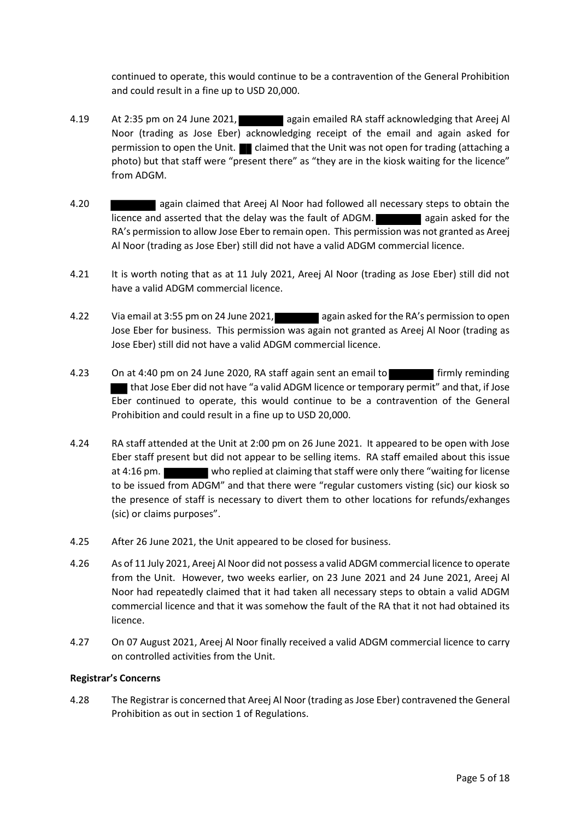continued to operate, this would continue to be a contravention of the General Prohibition and could result in a fine up to USD 20,000.

- 4.19 At 2:35 pm on 24 June 2021, again emailed RA staff acknowledging that Areej Al Noor (trading as Jose Eber) acknowledging receipt of the email and again asked for permission to open the Unit.  $\blacksquare$  claimed that the Unit was not open for trading (attaching a photo) but that staff were "present there" as "they are in the kiosk waiting for the licence" from ADGM.
- 4.20 again claimed that Areej Al Noor had followed all necessary steps to obtain the licence and asserted that the delay was the fault of ADGM. **All again asked for the** RA's permission to allow Jose Eber to remain open. This permission was not granted as Areej Al Noor (trading as Jose Eber) still did not have a valid ADGM commercial licence.
- 4.21 It is worth noting that as at 11 July 2021, Areej Al Noor (trading as Jose Eber) still did not have a valid ADGM commercial licence.
- 4.22 Via email at 3:55 pm on 24 June 2021, again asked for the RA's permission to open Jose Eber for business. This permission was again not granted as Areej Al Noor (trading as Jose Eber) still did not have a valid ADGM commercial licence.
- 4.23 On at 4:40 pm on 24 June 2020, RA staff again sent an email to firmly reminding that Jose Eber did not have "a valid ADGM licence or temporary permit" and that, if Jose Eber continued to operate, this would continue to be a contravention of the General Prohibition and could result in a fine up to USD 20,000.
- 4.24 RA staff attended at the Unit at 2:00 pm on 26 June 2021. It appeared to be open with Jose Eber staff present but did not appear to be selling items. RA staff emailed about this issue at 4:16 pm. who replied at claiming that staff were only there "waiting for license to be issued from ADGM" and that there were "regular customers visting (sic) our kiosk so the presence of staff is necessary to divert them to other locations for refunds/exhanges (sic) or claims purposes".
- 4.25 After 26 June 2021, the Unit appeared to be closed for business.
- 4.26 As of 11 July 2021, Areej Al Noor did not possess a valid ADGM commercial licence to operate from the Unit. However, two weeks earlier, on 23 June 2021 and 24 June 2021, Areej Al Noor had repeatedly claimed that it had taken all necessary steps to obtain a valid ADGM commercial licence and that it was somehow the fault of the RA that it not had obtained its licence.
- 4.27 On 07 August 2021, Areej Al Noor finally received a valid ADGM commercial licence to carry on controlled activities from the Unit.

## **Registrar's Concerns**

4.28 The Registrar is concerned that Areej Al Noor (trading as Jose Eber) contravened the General Prohibition as out in section 1 of Regulations.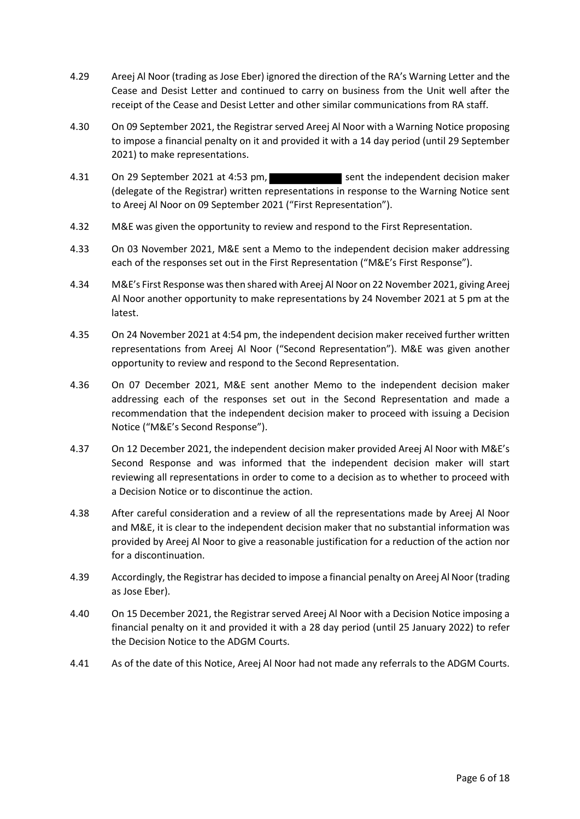- 4.29 Areej Al Noor (trading as Jose Eber) ignored the direction of the RA's Warning Letter and the Cease and Desist Letter and continued to carry on business from the Unit well after the receipt of the Cease and Desist Letter and other similar communications from RA staff.
- 4.30 On 09 September 2021, the Registrar served Areej Al Noor with a Warning Notice proposing to impose a financial penalty on it and provided it with a 14 day period (until 29 September 2021) to make representations.
- 4.31 On 29 September 2021 at 4:53 pm. (delegate of the Registrar) written representations in response to the Warning Notice sent to Areej Al Noor on 09 September 2021 ("First Representation").
- 4.32 M&E was given the opportunity to review and respond to the First Representation.
- 4.33 On 03 November 2021, M&E sent a Memo to the independent decision maker addressing each of the responses set out in the First Representation ("M&E's First Response").
- 4.34 M&E's First Response was then shared with Areej Al Noor on 22 November 2021, giving Areej Al Noor another opportunity to make representations by 24 November 2021 at 5 pm at the latest.
- 4.35 On 24 November 2021 at 4:54 pm, the independent decision maker received further written representations from Areej Al Noor ("Second Representation"). M&E was given another opportunity to review and respond to the Second Representation.
- 4.36 On 07 December 2021, M&E sent another Memo to the independent decision maker addressing each of the responses set out in the Second Representation and made a recommendation that the independent decision maker to proceed with issuing a Decision Notice ("M&E's Second Response").
- 4.37 On 12 December 2021, the independent decision maker provided Areej Al Noor with M&E's Second Response and was informed that the independent decision maker will start reviewing all representations in order to come to a decision as to whether to proceed with a Decision Notice or to discontinue the action.
- 4.38 After careful consideration and a review of all the representations made by Areej Al Noor and M&E, it is clear to the independent decision maker that no substantial information was provided by Areej Al Noor to give a reasonable justification for a reduction of the action nor for a discontinuation.
- 4.39 Accordingly, the Registrar has decided to impose a financial penalty on Areej Al Noor (trading as Jose Eber).
- 4.40 On 15 December 2021, the Registrar served Areej Al Noor with a Decision Notice imposing a financial penalty on it and provided it with a 28 day period (until 25 January 2022) to refer the Decision Notice to the ADGM Courts.
- 4.41 As of the date of this Notice, Areej Al Noor had not made any referrals to the ADGM Courts.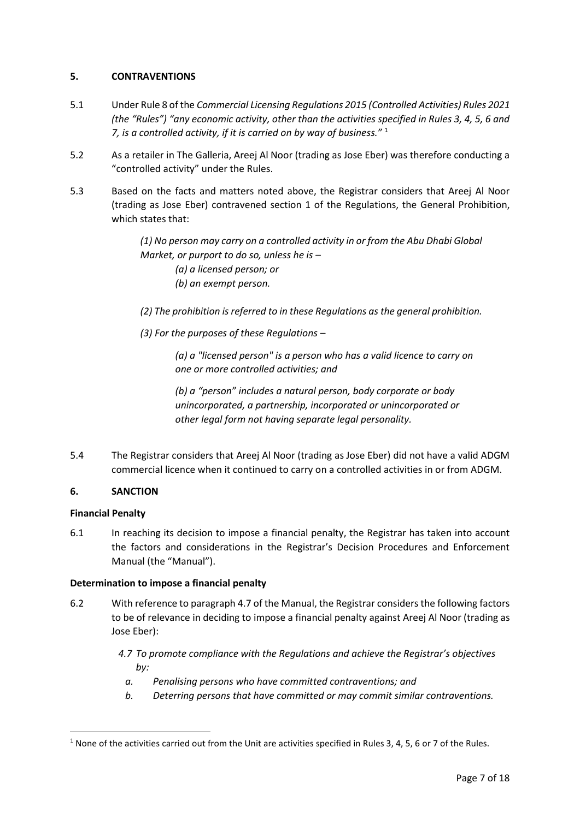# **5. CONTRAVENTIONS**

- 5.1 Under Rule 8 of the *Commercial Licensing Regulations 2015 (Controlled Activities) Rules 2021 (the "Rules") "any economic activity, other than the activities specified in Rules 3, 4, 5, 6 and 7, is a controlled activity, if it is carried on by way of business."* <sup>1</sup>
- 5.2 As a retailer in The Galleria, Areej Al Noor (trading as Jose Eber) was therefore conducting a "controlled activity" under the Rules.
- 5.3 Based on the facts and matters noted above, the Registrar considers that Areej Al Noor (trading as Jose Eber) contravened section 1 of the Regulations, the General Prohibition, which states that:

*(1) No person may carry on a controlled activity in or from the Abu Dhabi Global Market, or purport to do so, unless he is – (a) a licensed person; or (b) an exempt person.* 

*(2) The prohibition is referred to in these Regulations as the general prohibition.* 

*(3) For the purposes of these Regulations –*

*(a) a "licensed person" is a person who has a valid licence to carry on one or more controlled activities; and* 

*(b) a "person" includes a natural person, body corporate or body unincorporated, a partnership, incorporated or unincorporated or other legal form not having separate legal personality.*

5.4 The Registrar considers that Areej Al Noor (trading as Jose Eber) did not have a valid ADGM commercial licence when it continued to carry on a controlled activities in or from ADGM.

## **6. SANCTION**

## **Financial Penalty**

**.** 

6.1 In reaching its decision to impose a financial penalty, the Registrar has taken into account the factors and considerations in the Registrar's Decision Procedures and Enforcement Manual (the "Manual").

# **Determination to impose a financial penalty**

6.2 With reference to paragraph 4.7 of the Manual, the Registrar considers the following factors to be of relevance in deciding to impose a financial penalty against Areej Al Noor (trading as Jose Eber):

> *4.7 To promote compliance with the Regulations and achieve the Registrar's objectives by:*

- *a. Penalising persons who have committed contraventions; and*
- *b. Deterring persons that have committed or may commit similar contraventions.*

 $1$  None of the activities carried out from the Unit are activities specified in Rules 3, 4, 5, 6 or 7 of the Rules.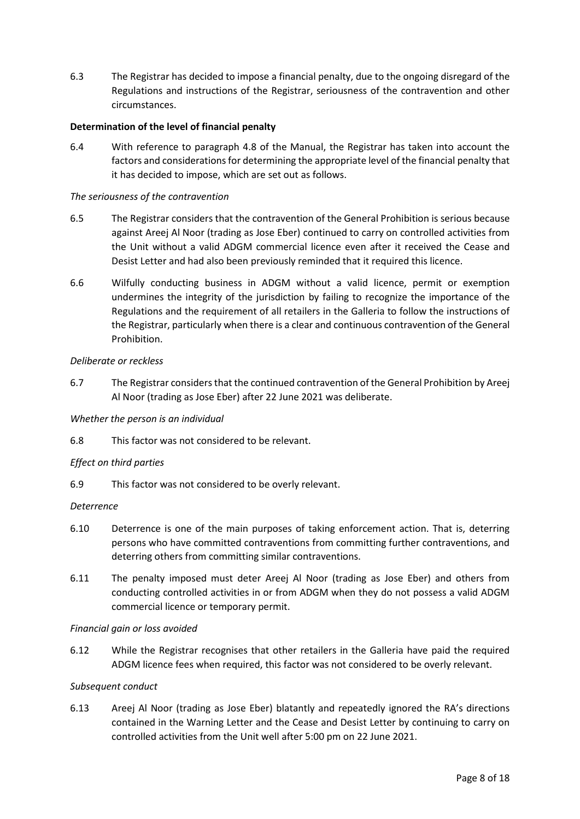6.3 The Registrar has decided to impose a financial penalty, due to the ongoing disregard of the Regulations and instructions of the Registrar, seriousness of the contravention and other circumstances.

# **Determination of the level of financial penalty**

6.4 With reference to paragraph 4.8 of the Manual, the Registrar has taken into account the factors and considerations for determining the appropriate level of the financial penalty that it has decided to impose, which are set out as follows.

## *The seriousness of the contravention*

- 6.5 The Registrar considers that the contravention of the General Prohibition is serious because against Areej Al Noor (trading as Jose Eber) continued to carry on controlled activities from the Unit without a valid ADGM commercial licence even after it received the Cease and Desist Letter and had also been previously reminded that it required this licence.
- 6.6 Wilfully conducting business in ADGM without a valid licence, permit or exemption undermines the integrity of the jurisdiction by failing to recognize the importance of the Regulations and the requirement of all retailers in the Galleria to follow the instructions of the Registrar, particularly when there is a clear and continuous contravention of the General Prohibition.

# *Deliberate or reckless*

6.7 The Registrar considers that the continued contravention of the General Prohibition by Areej Al Noor (trading as Jose Eber) after 22 June 2021 was deliberate.

## *Whether the person is an individual*

6.8 This factor was not considered to be relevant.

## *Effect on third parties*

6.9 This factor was not considered to be overly relevant.

## *Deterrence*

- 6.10 Deterrence is one of the main purposes of taking enforcement action. That is, deterring persons who have committed contraventions from committing further contraventions, and deterring others from committing similar contraventions.
- 6.11 The penalty imposed must deter Areej Al Noor (trading as Jose Eber) and others from conducting controlled activities in or from ADGM when they do not possess a valid ADGM commercial licence or temporary permit.

## *Financial gain or loss avoided*

6.12 While the Registrar recognises that other retailers in the Galleria have paid the required ADGM licence fees when required, this factor was not considered to be overly relevant.

## *Subsequent conduct*

6.13 Areej Al Noor (trading as Jose Eber) blatantly and repeatedly ignored the RA's directions contained in the Warning Letter and the Cease and Desist Letter by continuing to carry on controlled activities from the Unit well after 5:00 pm on 22 June 2021.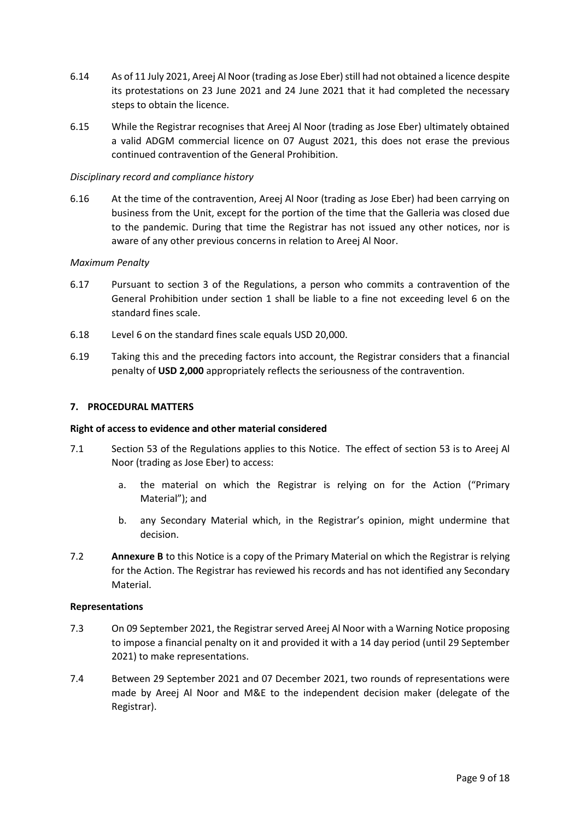- 6.14 As of 11 July 2021, Areej Al Noor (trading as Jose Eber) still had not obtained a licence despite its protestations on 23 June 2021 and 24 June 2021 that it had completed the necessary steps to obtain the licence.
- 6.15 While the Registrar recognises that Areej Al Noor (trading as Jose Eber) ultimately obtained a valid ADGM commercial licence on 07 August 2021, this does not erase the previous continued contravention of the General Prohibition.

## *Disciplinary record and compliance history*

6.16 At the time of the contravention, Areej Al Noor (trading as Jose Eber) had been carrying on business from the Unit, except for the portion of the time that the Galleria was closed due to the pandemic. During that time the Registrar has not issued any other notices, nor is aware of any other previous concerns in relation to Areej Al Noor.

### *Maximum Penalty*

- 6.17 Pursuant to section 3 of the Regulations, a person who commits a contravention of the General Prohibition under section 1 shall be liable to a fine not exceeding level 6 on the standard fines scale.
- 6.18 Level 6 on the standard fines scale equals USD 20,000.
- 6.19 Taking this and the preceding factors into account, the Registrar considers that a financial penalty of **USD 2,000** appropriately reflects the seriousness of the contravention.

### **7. PROCEDURAL MATTERS**

#### **Right of access to evidence and other material considered**

- 7.1 Section 53 of the Regulations applies to this Notice. The effect of section 53 is to Areej Al Noor (trading as Jose Eber) to access:
	- a. the material on which the Registrar is relying on for the Action ("Primary Material"); and
	- b. any Secondary Material which, in the Registrar's opinion, might undermine that decision.
- 7.2 **Annexure B** to this Notice is a copy of the Primary Material on which the Registrar is relying for the Action. The Registrar has reviewed his records and has not identified any Secondary Material.

### **Representations**

- 7.3 On 09 September 2021, the Registrar served Areej Al Noor with a Warning Notice proposing to impose a financial penalty on it and provided it with a 14 day period (until 29 September 2021) to make representations.
- 7.4 Between 29 September 2021 and 07 December 2021, two rounds of representations were made by Areej Al Noor and M&E to the independent decision maker (delegate of the Registrar).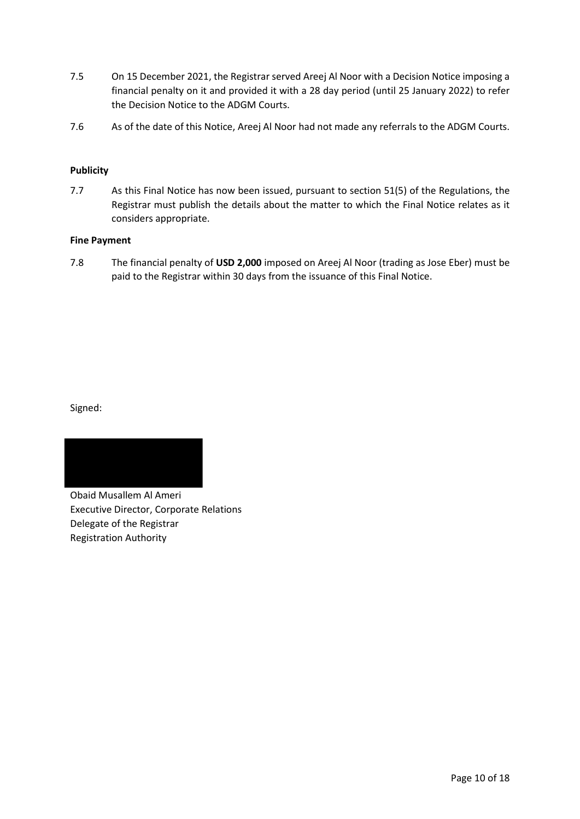- 7.5 On 15 December 2021, the Registrar served Areej Al Noor with a Decision Notice imposing a financial penalty on it and provided it with a 28 day period (until 25 January 2022) to refer the Decision Notice to the ADGM Courts.
- 7.6 As of the date of this Notice, Areej Al Noor had not made any referrals to the ADGM Courts.

# **Publicity**

7.7 As this Final Notice has now been issued, pursuant to section 51(5) of the Regulations, the Registrar must publish the details about the matter to which the Final Notice relates as it considers appropriate.

## **Fine Payment**

7.8 The financial penalty of **USD 2,000** imposed on Areej Al Noor (trading as Jose Eber) must be paid to the Registrar within 30 days from the issuance of this Final Notice.

Signed:



Obaid Musallem Al Ameri Executive Director, Corporate Relations Delegate of the Registrar Registration Authority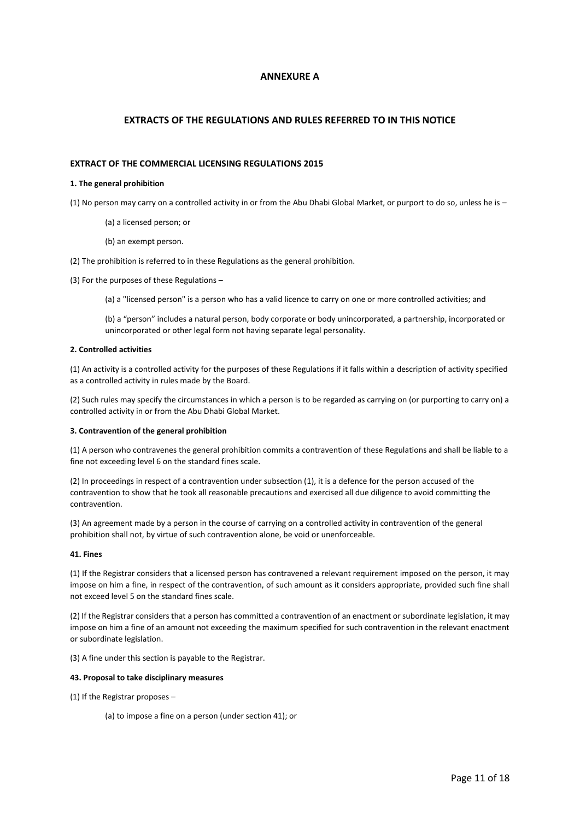#### **ANNEXURE A**

#### **EXTRACTS OF THE REGULATIONS AND RULES REFERRED TO IN THIS NOTICE**

#### **EXTRACT OF THE COMMERCIAL LICENSING REGULATIONS 2015**

#### **1. The general prohibition**

(1) No person may carry on a controlled activity in or from the Abu Dhabi Global Market, or purport to do so, unless he is –

- (a) a licensed person; or
- (b) an exempt person.

(2) The prohibition is referred to in these Regulations as the general prohibition.

(3) For the purposes of these Regulations –

(a) a "licensed person" is a person who has a valid licence to carry on one or more controlled activities; and

(b) a "person" includes a natural person, body corporate or body unincorporated, a partnership, incorporated or unincorporated or other legal form not having separate legal personality.

#### **2. Controlled activities**

(1) An activity is a controlled activity for the purposes of these Regulations if it falls within a description of activity specified as a controlled activity in rules made by the Board.

(2) Such rules may specify the circumstances in which a person is to be regarded as carrying on (or purporting to carry on) a controlled activity in or from the Abu Dhabi Global Market.

#### **3. Contravention of the general prohibition**

(1) A person who contravenes the general prohibition commits a contravention of these Regulations and shall be liable to a fine not exceeding level 6 on the standard fines scale.

(2) In proceedings in respect of a contravention under subsection (1), it is a defence for the person accused of the contravention to show that he took all reasonable precautions and exercised all due diligence to avoid committing the contravention.

(3) An agreement made by a person in the course of carrying on a controlled activity in contravention of the general prohibition shall not, by virtue of such contravention alone, be void or unenforceable.

#### **41. Fines**

(1) If the Registrar considers that a licensed person has contravened a relevant requirement imposed on the person, it may impose on him a fine, in respect of the contravention, of such amount as it considers appropriate, provided such fine shall not exceed level 5 on the standard fines scale.

(2) If the Registrar considers that a person has committed a contravention of an enactment or subordinate legislation, it may impose on him a fine of an amount not exceeding the maximum specified for such contravention in the relevant enactment or subordinate legislation.

(3) A fine under this section is payable to the Registrar.

#### **43. Proposal to take disciplinary measures**

(1) If the Registrar proposes –

(a) to impose a fine on a person (under section 41); or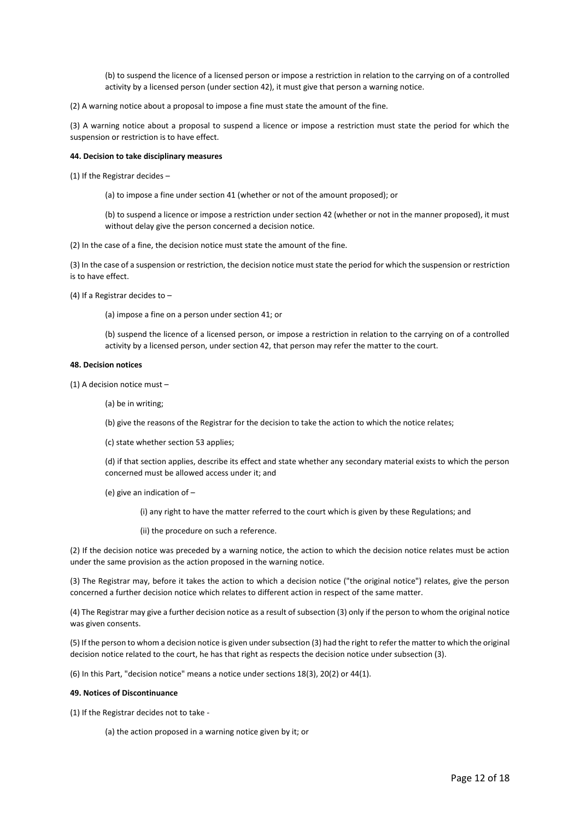(b) to suspend the licence of a licensed person or impose a restriction in relation to the carrying on of a controlled activity by a licensed person (under section 42), it must give that person a warning notice.

(2) A warning notice about a proposal to impose a fine must state the amount of the fine.

(3) A warning notice about a proposal to suspend a licence or impose a restriction must state the period for which the suspension or restriction is to have effect.

#### **44. Decision to take disciplinary measures**

(1) If the Registrar decides –

(a) to impose a fine under section 41 (whether or not of the amount proposed); or

(b) to suspend a licence or impose a restriction under section 42 (whether or not in the manner proposed), it must without delay give the person concerned a decision notice.

(2) In the case of a fine, the decision notice must state the amount of the fine.

(3) In the case of a suspension or restriction, the decision notice must state the period for which the suspension or restriction is to have effect.

(4) If a Registrar decides to –

(a) impose a fine on a person under section 41; or

(b) suspend the licence of a licensed person, or impose a restriction in relation to the carrying on of a controlled activity by a licensed person, under section 42, that person may refer the matter to the court.

#### **48. Decision notices**

(1) A decision notice must –

(a) be in writing;

(b) give the reasons of the Registrar for the decision to take the action to which the notice relates;

(c) state whether section 53 applies;

(d) if that section applies, describe its effect and state whether any secondary material exists to which the person concerned must be allowed access under it; and

(e) give an indication of –

(i) any right to have the matter referred to the court which is given by these Regulations; and

(ii) the procedure on such a reference.

(2) If the decision notice was preceded by a warning notice, the action to which the decision notice relates must be action under the same provision as the action proposed in the warning notice.

(3) The Registrar may, before it takes the action to which a decision notice ("the original notice") relates, give the person concerned a further decision notice which relates to different action in respect of the same matter.

(4) The Registrar may give a further decision notice as a result of subsection (3) only if the person to whom the original notice was given consents.

(5) If the person to whom a decision notice is given under subsection (3) had the right to refer the matter to which the original decision notice related to the court, he has that right as respects the decision notice under subsection (3).

(6) In this Part, "decision notice" means a notice under sections 18(3), 20(2) or 44(1).

#### **49. Notices of Discontinuance**

(1) If the Registrar decides not to take -

(a) the action proposed in a warning notice given by it; or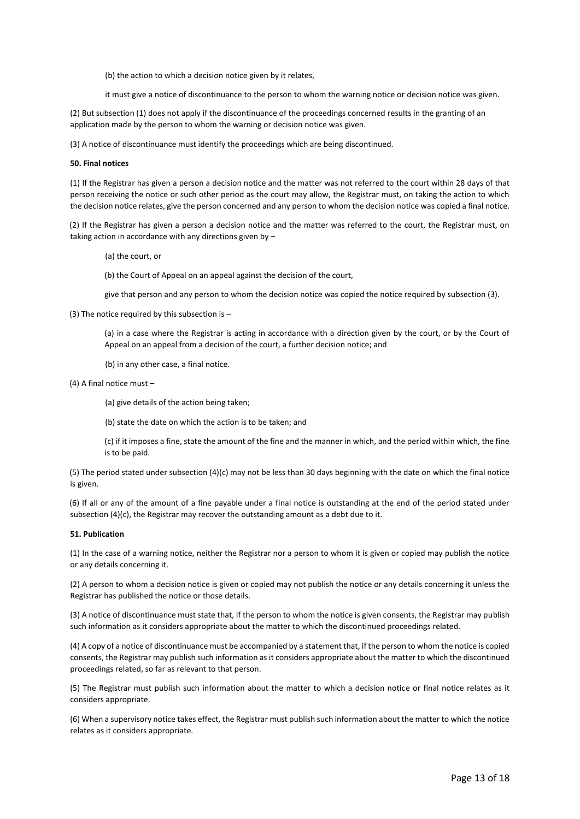(b) the action to which a decision notice given by it relates,

it must give a notice of discontinuance to the person to whom the warning notice or decision notice was given.

(2) But subsection (1) does not apply if the discontinuance of the proceedings concerned results in the granting of an application made by the person to whom the warning or decision notice was given.

(3) A notice of discontinuance must identify the proceedings which are being discontinued.

#### **50. Final notices**

(1) If the Registrar has given a person a decision notice and the matter was not referred to the court within 28 days of that person receiving the notice or such other period as the court may allow, the Registrar must, on taking the action to which the decision notice relates, give the person concerned and any person to whom the decision notice was copied a final notice.

(2) If the Registrar has given a person a decision notice and the matter was referred to the court, the Registrar must, on taking action in accordance with any directions given by –

(a) the court, or

(b) the Court of Appeal on an appeal against the decision of the court,

give that person and any person to whom the decision notice was copied the notice required by subsection (3).

(3) The notice required by this subsection is –

(a) in a case where the Registrar is acting in accordance with a direction given by the court, or by the Court of Appeal on an appeal from a decision of the court, a further decision notice; and

(b) in any other case, a final notice.

(4) A final notice must –

(a) give details of the action being taken;

(b) state the date on which the action is to be taken; and

(c) if it imposes a fine, state the amount of the fine and the manner in which, and the period within which, the fine is to be paid.

(5) The period stated under subsection (4)(c) may not be less than 30 days beginning with the date on which the final notice is given.

(6) If all or any of the amount of a fine payable under a final notice is outstanding at the end of the period stated under subsection  $(4)(c)$ , the Registrar may recover the outstanding amount as a debt due to it.

#### **51. Publication**

(1) In the case of a warning notice, neither the Registrar nor a person to whom it is given or copied may publish the notice or any details concerning it.

(2) A person to whom a decision notice is given or copied may not publish the notice or any details concerning it unless the Registrar has published the notice or those details.

(3) A notice of discontinuance must state that, if the person to whom the notice is given consents, the Registrar may publish such information as it considers appropriate about the matter to which the discontinued proceedings related.

(4) A copy of a notice of discontinuance must be accompanied by a statement that, if the person to whom the notice is copied consents, the Registrar may publish such information as it considers appropriate about the matter to which the discontinued proceedings related, so far as relevant to that person.

(5) The Registrar must publish such information about the matter to which a decision notice or final notice relates as it considers appropriate.

(6) When a supervisory notice takes effect, the Registrar must publish such information about the matter to which the notice relates as it considers appropriate.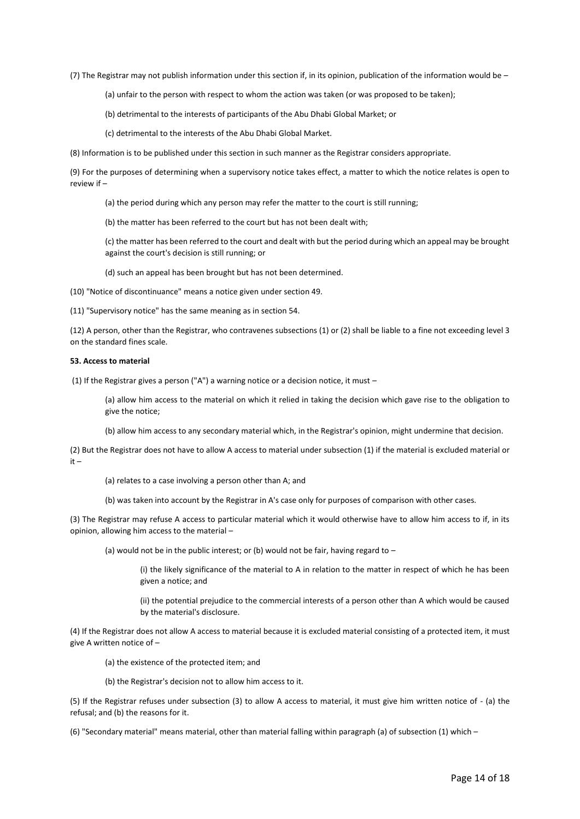(7) The Registrar may not publish information under this section if, in its opinion, publication of the information would be –

(a) unfair to the person with respect to whom the action was taken (or was proposed to be taken);

(b) detrimental to the interests of participants of the Abu Dhabi Global Market; or

(c) detrimental to the interests of the Abu Dhabi Global Market.

(8) Information is to be published under this section in such manner as the Registrar considers appropriate.

(9) For the purposes of determining when a supervisory notice takes effect, a matter to which the notice relates is open to review if –

(a) the period during which any person may refer the matter to the court is still running;

(b) the matter has been referred to the court but has not been dealt with;

(c) the matter has been referred to the court and dealt with but the period during which an appeal may be brought against the court's decision is still running; or

(d) such an appeal has been brought but has not been determined.

(10) "Notice of discontinuance" means a notice given under section 49.

(11) "Supervisory notice" has the same meaning as in section 54.

(12) A person, other than the Registrar, who contravenes subsections (1) or (2) shall be liable to a fine not exceeding level 3 on the standard fines scale.

#### **53. Access to material**

(1) If the Registrar gives a person ("A") a warning notice or a decision notice, it must –

(a) allow him access to the material on which it relied in taking the decision which gave rise to the obligation to give the notice;

(b) allow him access to any secondary material which, in the Registrar's opinion, might undermine that decision.

(2) But the Registrar does not have to allow A access to material under subsection (1) if the material is excluded material or it –

(a) relates to a case involving a person other than A; and

(b) was taken into account by the Registrar in A's case only for purposes of comparison with other cases.

(3) The Registrar may refuse A access to particular material which it would otherwise have to allow him access to if, in its opinion, allowing him access to the material –

(a) would not be in the public interest; or (b) would not be fair, having regard to  $-$ 

(i) the likely significance of the material to A in relation to the matter in respect of which he has been given a notice; and

(ii) the potential prejudice to the commercial interests of a person other than A which would be caused by the material's disclosure.

(4) If the Registrar does not allow A access to material because it is excluded material consisting of a protected item, it must give A written notice of –

(a) the existence of the protected item; and

(b) the Registrar's decision not to allow him access to it.

(5) If the Registrar refuses under subsection (3) to allow A access to material, it must give him written notice of - (a) the refusal; and (b) the reasons for it.

(6) "Secondary material" means material, other than material falling within paragraph (a) of subsection (1) which –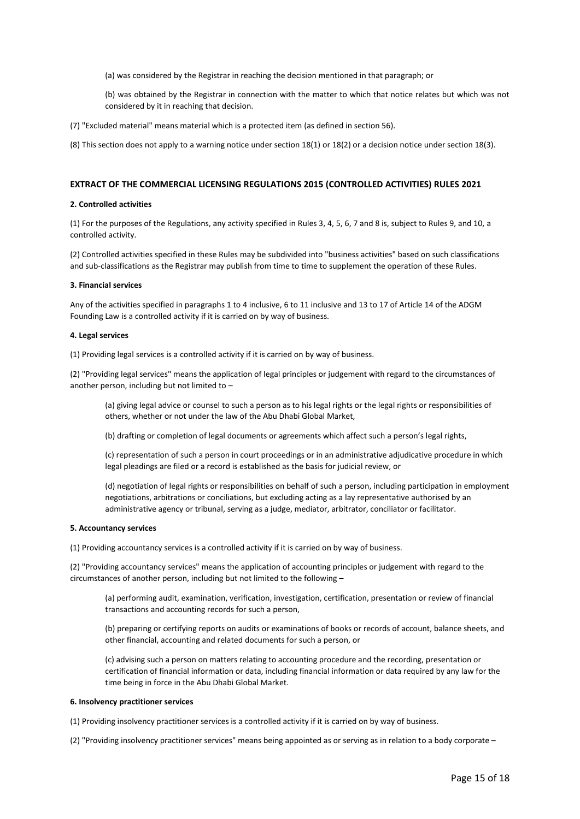(a) was considered by the Registrar in reaching the decision mentioned in that paragraph; or

(b) was obtained by the Registrar in connection with the matter to which that notice relates but which was not considered by it in reaching that decision.

(7) "Excluded material" means material which is a protected item (as defined in section 56).

(8) This section does not apply to a warning notice under section 18(1) or 18(2) or a decision notice under section 18(3).

#### **EXTRACT OF THE COMMERCIAL LICENSING REGULATIONS 2015 (CONTROLLED ACTIVITIES) RULES 2021**

#### **2. Controlled activities**

(1) For the purposes of the Regulations, any activity specified in Rules 3, 4, 5, 6, 7 and 8 is, subject to Rules 9, and 10, a controlled activity.

(2) Controlled activities specified in these Rules may be subdivided into "business activities" based on such classifications and sub-classifications as the Registrar may publish from time to time to supplement the operation of these Rules.

#### **3. Financial services**

Any of the activities specified in paragraphs 1 to 4 inclusive, 6 to 11 inclusive and 13 to 17 of Article 14 of the ADGM Founding Law is a controlled activity if it is carried on by way of business.

#### **4. Legal services**

(1) Providing legal services is a controlled activity if it is carried on by way of business.

(2) "Providing legal services" means the application of legal principles or judgement with regard to the circumstances of another person, including but not limited to –

(a) giving legal advice or counsel to such a person as to his legal rights or the legal rights or responsibilities of others, whether or not under the law of the Abu Dhabi Global Market,

(b) drafting or completion of legal documents or agreements which affect such a person's legal rights,

(c) representation of such a person in court proceedings or in an administrative adjudicative procedure in which legal pleadings are filed or a record is established as the basis for judicial review, or

(d) negotiation of legal rights or responsibilities on behalf of such a person, including participation in employment negotiations, arbitrations or conciliations, but excluding acting as a lay representative authorised by an administrative agency or tribunal, serving as a judge, mediator, arbitrator, conciliator or facilitator.

#### **5. Accountancy services**

(1) Providing accountancy services is a controlled activity if it is carried on by way of business.

(2) "Providing accountancy services" means the application of accounting principles or judgement with regard to the circumstances of another person, including but not limited to the following –

(a) performing audit, examination, verification, investigation, certification, presentation or review of financial transactions and accounting records for such a person,

(b) preparing or certifying reports on audits or examinations of books or records of account, balance sheets, and other financial, accounting and related documents for such a person, or

(c) advising such a person on matters relating to accounting procedure and the recording, presentation or certification of financial information or data, including financial information or data required by any law for the time being in force in the Abu Dhabi Global Market.

#### **6. Insolvency practitioner services**

(1) Providing insolvency practitioner services is a controlled activity if it is carried on by way of business.

(2) "Providing insolvency practitioner services" means being appointed as or serving as in relation to a body corporate –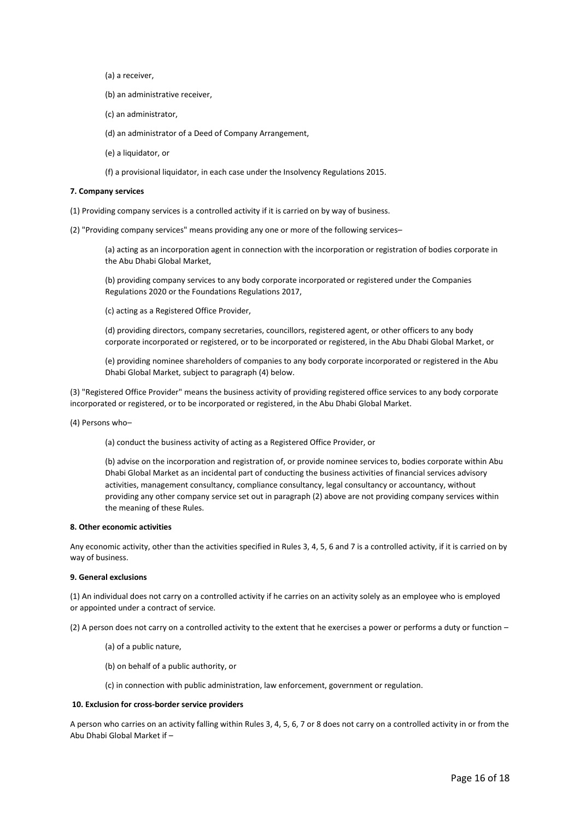- (a) a receiver,
- (b) an administrative receiver,
- (c) an administrator,
- (d) an administrator of a Deed of Company Arrangement,
- (e) a liquidator, or
- (f) a provisional liquidator, in each case under the Insolvency Regulations 2015.

#### **7. Company services**

- (1) Providing company services is a controlled activity if it is carried on by way of business.
- (2) "Providing company services" means providing any one or more of the following services–

(a) acting as an incorporation agent in connection with the incorporation or registration of bodies corporate in the Abu Dhabi Global Market,

(b) providing company services to any body corporate incorporated or registered under the Companies Regulations 2020 or the Foundations Regulations 2017,

(c) acting as a Registered Office Provider,

(d) providing directors, company secretaries, councillors, registered agent, or other officers to any body corporate incorporated or registered, or to be incorporated or registered, in the Abu Dhabi Global Market, or

(e) providing nominee shareholders of companies to any body corporate incorporated or registered in the Abu Dhabi Global Market, subject to paragraph (4) below.

(3) "Registered Office Provider" means the business activity of providing registered office services to any body corporate incorporated or registered, or to be incorporated or registered, in the Abu Dhabi Global Market.

(4) Persons who–

(a) conduct the business activity of acting as a Registered Office Provider, or

(b) advise on the incorporation and registration of, or provide nominee services to, bodies corporate within Abu Dhabi Global Market as an incidental part of conducting the business activities of financial services advisory activities, management consultancy, compliance consultancy, legal consultancy or accountancy, without providing any other company service set out in paragraph (2) above are not providing company services within the meaning of these Rules.

#### **8. Other economic activities**

Any economic activity, other than the activities specified in Rules 3, 4, 5, 6 and 7 is a controlled activity, if it is carried on by way of business.

#### **9. General exclusions**

(1) An individual does not carry on a controlled activity if he carries on an activity solely as an employee who is employed or appointed under a contract of service.

(2) A person does not carry on a controlled activity to the extent that he exercises a power or performs a duty or function –

- (a) of a public nature,
- (b) on behalf of a public authority, or

(c) in connection with public administration, law enforcement, government or regulation.

#### **10. Exclusion for cross-border service providers**

A person who carries on an activity falling within Rules 3, 4, 5, 6, 7 or 8 does not carry on a controlled activity in or from the Abu Dhabi Global Market if –